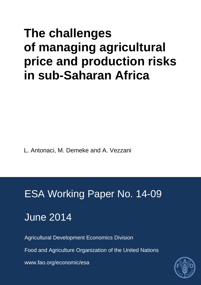# **The challenges of managing agricultural price and production risks in sub-Saharan Africa**

L. Antonaci, M. Demeke and A. Vezzani

# ESA Working Paper No. 14-09 June 2014

Agricultural Development Economics Division Food and Agriculture Organization of the United Nations www.fao.org/economic/esa

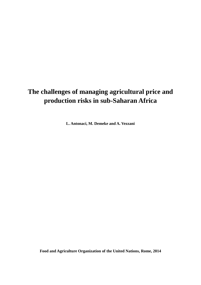## **The challenges of managing agricultural price and production risks in sub-Saharan Africa**

**L. Antonaci, M. Demeke and A. Vezzani** 

<span id="page-1-0"></span>**Food and Agriculture Organization of the United Nations, Rome, 2014**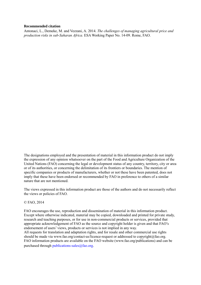#### **Recommended citation**

Antonaci, L., Demeke, M. and Vezzani, A. 2014. *The challenges of managing agricultural price and production risks in sub-Saharan Africa.* ESA Working Paper No. 14-09. Rome, FAO.

The designations employed and the presentation of material in this information product do not imply the expression of any opinion whatsoever on the part of the Food and Agriculture Organization of the United Nations (FAO) concerning the legal or development status of any country, territory, city or area or of its authorities, or concerning the delimitation of its frontiers or boundaries. The mention of specific companies or products of manufacturers, whether or not these have been patented, does not imply that these have been endorsed or recommended by FAO in preference to others of a similar nature that are not mentioned.

The views expressed in this information product are those of the authors and do not necessarily reflect the views or policies of FAO.

#### © FAO, 2014

FAO encourages the use, reproduction and dissemination of material in this information product. Except where otherwise indicated, material may be copied, downloaded and printed for private study, research and teaching purposes, or for use in non-commercial products or services, provided that appropriate acknowledgement of FAO as the source and copyright holder is given and that FAO's endorsement of users' views, products or services is not implied in any way.

All requests for translation and adaptation rights, and for resale and other commercial use rights should be made via www.fao.org/contact-us/licence-request or addressed to copyright@fao.org. FAO information products are available on the FAO website (www.fao.org/publications) and can be purchased through publications-sales@fao.org.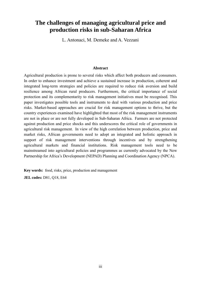## **The challenges of managing agricultural price and production risks in sub-Saharan Africa**

L. Antonaci, M. Demeke and A. Vezzani

#### **Abstract**

Agricultural production is prone to several risks which affect both producers and consumers. In order to enhance investment and achieve a sustained increase in production, coherent and integrated long-term strategies and policies are required to reduce risk aversion and build resilience among African rural producers. Furthermore, the critical importance of social protection and its complementarity to risk management initiatives must be recognised. This paper investigates possible tools and instruments to deal with various production and price risks. Market-based approaches are crucial for risk management options to thrive, but the country experiences examined have highlighted that most of the risk management instruments are not in place or are not fully developed in Sub-Saharan Africa. Farmers are not protected against production and price shocks and this underscores the critical role of governments in agricultural risk management. In view of the high correlation between production, price and market risks, African governments need to adopt an integrated and holistic approach in support of risk management interventions through incentives and by strengthening agricultural markets and financial institutions. Risk management tools need to be mainstreamed into agricultural policies and programmes as currently advocated by the New Partnership for Africa's Development (NEPAD) Planning and Coordination Agency (NPCA).

**Key words:** food, risks, price, production and management **JEL codes:** D81, Q18, E64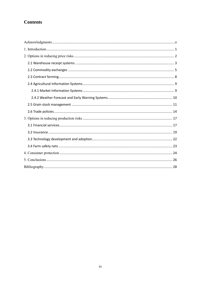### **Contents**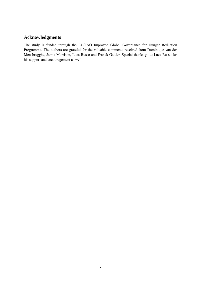#### <span id="page-5-0"></span>**Acknowledgments**

The study is funded through the EU/FAO Improved Global Governance for Hunger Reduction Programme. The authors are grateful for the valuable comments received from Dominique van der Mensbrugghe, Jamie Morrison, Luca Russo and Franck Galtier. Special thanks go to Luca Russo for his support and encouragement as well.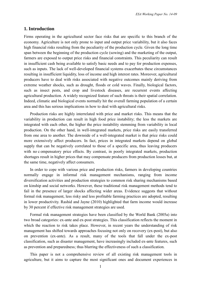#### <span id="page-6-0"></span>**1. Introduction**

Firms operating in the agricultural sector face risks that are specific to this branch of the economy. Agriculture is not only prone to input and output price variability, but it also faces high financial risks resulting from the peculiarity of the production cycle. Given the long time span between the beginning of the production cycle (sowing) and the marketing of the output, farmers are exposed to output price risks and financial constraints. This peculiarity can result in insufficient cash being available to satisfy basic needs and to pay for production expenses, such as inputs. The lack of well-developed financial systems exacerbates these circumstances resulting in insufficient liquidity, loss of income and high interest rates. Moreover, agricultural producers have to deal with risks associated with negative outcomes mainly deriving from extreme weather shocks, such as drought, floods or cold waves. Finally, biological factors, such as insect pests, and crop and livestock diseases, are recurrent events affecting agricultural production. A widely recognized feature of such threats is their spatial correlation. Indeed, climatic and biological events normally hit the overall farming population of a certain area and this has serious implications in how to deal with agricultural risks.

Production risks are highly interrelated with price and market risks. This means that the variability in production can result in high food price instability; the less the markets are integrated with each other, the higher the price instability stemming from variability in local production. On the other hand, in well-integrated markets, price risks are easily transferred from one area to another. The downside of a well-integrated market is that price risks could more extensively affect producers. In fact, prices in integrated markets depend on global supply that can be negatively correlated to those of a specific area, thus leaving producers with no c ompensatory price effects. By contrast, in poorly integrated markets, production shortages result in higher prices that may compensate producers from production losses but, at the same time, negatively affect consumers.

In order to cope with various price and production risks, farmers in developing countries normally engage in informal risk management mechanisms, ranging from income diversification activities and production strategies to common risk sharing mechanisms based on kinship and social networks. However, these traditional risk management methods tend to fail in the presence of larger shocks affecting wider areas. Evidence suggests that without formal risk management, less risky and less profitable farming practices are adopted, resulting in lower productivity. Rashid and Jayne (2010) highlighted that farm income would increase by 30 percent if effective risk management strategies are used.

Formal risk management strategies have been classified by the World Bank (2005a) into two broad categories: ex-ante and ex-post strategies. This classification reflects the moment in which the reaction to risk takes place. However, in recent years the understanding of risk management has shifted towards approaches focusing not only on recovery (ex-post), but also on prevention (ex-ante). As a result, many of the tools that fall under the ex-post classification, such as disaster management, have increasingly included ex-ante features, such as prevention and preparedness; thus blurring the effectiveness of such a classification.

This paper is not a comprehensive review of all existing risk management tools in agriculture, but it aims to capture the most significant ones and document experiences in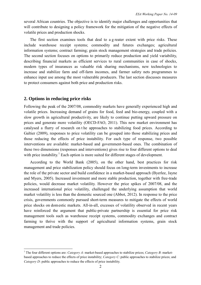several African countries. The objective is to identify major challenges and opportunities that will contribute to designing a policy framework for the mitigation of the negative effects of volatile prices and production shocks.

The first section examines tools that deal to a g reater extent with price risks. These include warehouse receipt systems; commodity and futures exchanges; agricultural information systems; contract farming; grain stock management strategies and trade policies. The second section focuses on options to primarily reduce production and yield variability, describing financial markets as efficient services to rural communities in case of shocks, modern types of insurances as valuable risk sharing mechanisms, new technologies to increase and stabilize farm and off-farm incomes, and farmer safety nets programmes to enhance input use among the most vulnerable producers. The last section discusses measures to protect consumers against both price and production risks.

#### <span id="page-7-0"></span>**2. Options in reducing price risks**

.<br>-

Following the peak of the 2007/08, commodity markets have generally experienced high and volatile prices. Increasing demand of grains for food, feed and bio-energy, coupled with a slow growth in agricultural productivity, are likely to continue putting upward pressure on prices and generate more volatility (OECD-FAO, 2011). This new market environment has catalysed a flurry of research on t he approaches to stabilizing food prices. According to Galtier (2009), responses to price volatility can be grouped into those stabilizing prices and those reducing the effects of price instability. For each type of response, two possible interventions are available: market-based and government-based ones. The combination of these two dimensions (responses and interventions) gives rise to four different options to deal with price instability.<sup>[1](#page-1-0)</sup> Each option is more suited for different stages of development.

According to the World Bank (2005), on the other hand, best practices for risk management and price stabilization policy should focus on long-term investments to increase the role of the private sector and build confidence in a market-based approach (Byerlee, Jayne and Myers, 2005). Increased investment and more stable production, together with free-trade policies, would decrease market volatility. However the price spikes of 2007/08, and the increased international price volatility, challenged the underlying assumption that world market volatility is less than the domestic sourced one (Abbot, 2012). In response to the price crisis, governments commonly pursued short-term measures to mitigate the effects of world price shocks on domestic markets. All-in-all, excesses of volatility observed in recent years have reinforced the argument that public-private partnership is essential for price risk management tools such as warehouse receipt systems, commodity exchanges and contract farming to thrive with the support of agricultural information systems, grain stock management and trade policies.

<span id="page-7-1"></span><sup>&</sup>lt;sup>1</sup> The four different options are: *Category A*: market-based approaches to stabilize prices; *Category B*: marketbased approaches to reduce the effects of price instability; *Category C*: public approaches to stabilize prices; and *Category D*: public approaches to reduce the effects of price instability.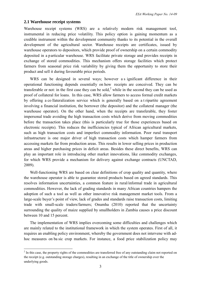#### <span id="page-8-0"></span>**2.1 Warehouse receipt systems**

.<br>-

Warehouse receipt systems (WRS) are a relatively modern risk management tool, instrumental in reducing price volatility. This policy option is gaining momentum as a credible instrument within the development community thanks to its potential in the overall development of the agricultural sector. Warehouse receipts are certificates, issued by warehouse operators to depositors, which provide proof of ownership on a certain commodity deposited in a particular warehouse. WRS facilitate private storage and provides receipts in exchange of stored commodities. This mechanism offers storage facilities which protect farmers from seasonal price risk variability by giving them the opportunity to store their product and sell it during favourable price periods.

WRS can be designed in several ways; however a s ignificant difference in their operational functioning depends essentially on how receipts are conceived. They can be transferable or not: in the first case they can be sold,<sup>[2](#page-7-1)</sup> while in the second they can be used as proof of collateral for loans. In this case, WRS allow farmers to access formal credit markets by offering a co llateralization service which is generally based on a t ripartite agreement involving a financial institution, the borrower (the depositor) and the collateral manager (the warehouse operator). On the other hand, when the receipts are transferable, they foster impersonal trade avoiding the high transaction costs which derive from moving commodities before the transaction takes place (this is particularly true for those experiences based on electronic receipts). This reduces the inefficiencies typical of African agricultural markets, such as high transaction costs and imperfect commodity information. Poor rural transport infrastructure is one major driver of high transaction costs which hamper farmers from accessing markets far from production areas. This results in lower selling prices in production areas and higher purchasing prices in deficit areas. Besides these direct benefits, WRS can play an important role in introducing other market innovations, like commodity exchanges, for which WRS provide a mechanism for delivery against exchange contracts (UNCTAD, 2009).

Well-functioning WRS are based on clear definitions of crop quality and quantity, where the warehouse operator is able to guarantee stored products based on agreed standards. This resolves information uncertainties, a common feature in rural/informal trade in agricultural commodities. However, the lack of grading standards in many African countries hampers the adoption of such a tool as well as other innovative risk management market tools. From a large-scale buyer's point of view, lack of grades and standards raise transaction costs, limiting trade with small-scale traders/farmers; Onumha (2010) reported that the uncertainty surrounding the quality of maize supplied by smallholders in Zambia causes a price discount between 10 and 15 percent.

The implementation of WRS implies overcoming some difficulties and challenges which are mainly related to the institutional framework in which the system operates. First of all, it requires an enabling policy environment, whereby the government does not intervene with adhoc measures on ba sic crop markets. For instance, a food price stabilization policy may

<span id="page-8-1"></span> $2 \text{ In this case, the property rights of the commodities are transferred free of any outstanding claim not reported on }$ the receipt (e.g. outstanding storage charges), resulting in an exchange of the title of ownership over the underlying goods.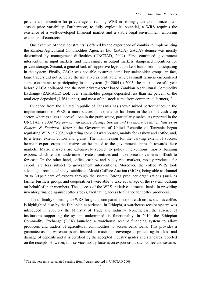provide a disincentive for private agents running WRS in storing grain to minimize interseason price variability. Furthermore, to fully exploit its potential, a WRS requires the existence of a well-developed financial market and a stable legal environment enforcing execution of contracts.

One example of these constraints is offered by the experience of Zambia in implementing the Zambia Agricultural Commodities Agencies Ltd. (ZACA). ZACA's demise was mostly determined by management difficulties (UNCTAD, 2009). First, continued government intervention in input markets, and increasingly in output markets, dampened incentives for private storage. Second, a general lack of supportive legislation kept banks from participating in the system. Finally, ZACA was not able to attract some key stakeholder groups; in fact, large traders did not perceive the initiative as profitable, whereas small farmers encountered some constraints to participating in the system. (In 2004 to 2005, the most successful year before ZACA collapsed and the new private-sector based Zambian Agricultural Commodity Exchange (ZAMACE) took over, smallholder groups deposited less than six percent of the total crop deposited  $(3,764 \text{ tonnes})$  $(3,764 \text{ tonnes})$  $(3,764 \text{ tonnes})$  and most of the stock came from commercial farmers).<sup>3</sup>

Evidence from the United Republic of Tanzania has shown mixed performances in the implementation of WRS: a more successful experience has been in the export cash crop sector, whereas a less successful one in the grain sector, particularly maize. As reported in the UNCTAD's 2009 "*Review of Warehouse Receipt System and I nventory Credit Initiatives in Eastern & Southern Africa"*: the Government of United Republic of Tanzania began regulating WRS in 2005, registering some 20 warehouses, mainly for cashew and coffee, and, to a lesser extent, cotton and grains. The main reason for the varying extent of success between export crops and maize can be traced to the government approach towards these markets. Maize markets are extensively subject to policy interventions, mostly banning exports, which tend to undermine private incentives and make price movements difficult to forecast. On the other hand, coffee, cashew and paddy rice markets, mostly produced for export, are less subject to government interventions. Moreover, the coffee WRS took advantage from the already established Moshi Coffeee Auction (MCA), being able to channel 20 to 30 pe r cent of exports through the system. Strong producer organizations (such as farmer business groups and cooperatives) were able to take advantage of the system, bulking on behalf of their members. The success of the WRS initiatives attracted banks in providing inventory finance against coffee stocks, facilitating access to finance for coffee producers.

The difficulty of setting up WRS for grains compared to export cash crops, such as coffee, is highlighted also by the Ethiopian experience. In Ethiopia, a warehouse receipt system was introduced in 2003 b y the Ministry of Trade and Industry. Nonetheless, the absence of institutions supporting the system undermined its functionality. In 2010, the Ethiopian Commodity Exchange (ECX) launched a warehouse receipt financing system to allow producers and traders of agricultural commodities to access bank loans. This provides a guarantee as the warehouses are insured at maximum coverage to protect against loss and damage of deposits and it is certified by the accepted industry grades and standards reported on the receipts. However, this service mostly focuses on export crops such coffee and sesame.

<u>.</u>

<span id="page-9-0"></span><sup>&</sup>lt;sup>3</sup> The six percent is calculated starting from figures reported in UNCTAD 2009.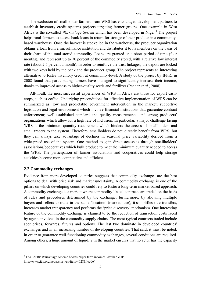The exclusion of smallholder farmers from WRS has encouraged development partners to establish inventory credit systems projects targeting farmer groups. One example in West Africa is the so-called *Warrantage System* which has been developed in Niger.<sup>[4](#page-9-0)</sup> The project helps rural farmers to access bank loans in return for storage of their produce in a communitybased warehouse. Once the harvest is stockpiled in the warehouse, the producer organization obtains a loan from a microfinance institution and distributes it to its members on the basis of their share of the total stored commodity. Loans are granted on a short period of time (four months), and represent up to 70 percent of the commodity stored, with a relative low interest rate (about 2.5 percent a month). In order to reinforce the trust linkages, the depots are locked with two keys held by the bank and the producer group. The project represents an interesting alternative to foster inventory credit at community-level. A study of the project by IFPRI in 2008 found that participating farmers have managed to significantly increase their income, thanks to improved access to higher-quality seeds and fertilizer (Pender *et al*., 2008).

All-in-all, the most successful experiences of WRS in Africa are those for export cashcrops, such as coffee. Underlying preconditions for effective implementation of WRS can be summarized as: low and predictable government intervention in the market; supportive legislation and legal environment which involve financial institutions that guarantee contract enforcement; well-established standard and quality measurements; and strong producers' organizations which allow for a high rate of inclusion. In particular, a major challenge facing WRS is the minimum quantity requirement which hinders the access of smallholders and small traders to the system. Therefore, smallholders do not directly benefit from WRS, but they can always take advantage of declines in seasonal price variability derived from a widespread use of the system. One method to gain direct access is through smallholders' associations/cooperatives which bulk produce to meet the minimum quantity needed to access the WRS. The participation of farmer associations and cooperatives could help storage activities become more competitive and efficient.

#### <span id="page-10-0"></span>**2.2 Commodity exchanges**

<u>.</u>

Evidence from more developed countries suggests that commodity exchanges are the best options to deal with price risk and market uncertainty. A commodity exchange is one of the pillars on which developing countries could rely to foster a long-term market-based approach. A commodity exchange is a market where commodity-linked contracts are traded on the basis of rules and procedures determined by the exchange; furthermore, by allowing multiple buyers and sellers to trade in the same 'location' (marketplace), it s implifies title transfers, increases market transparency and performs the 'price discovery' mechanism. One interesting feature of the commodity exchange is claimed to be the reduction of transaction costs faced by agents involved in the commodity supply chains. The most typical contracts traded include spot prices, forwards, futures and options. The last two dominate in developed countries' exchanges and in an increasing number of developing countries. That said, it must be noted: in order to guarantee well-functioning commodity exchanges, several conditions are required. Among others, a huge amount of liquidity in the market ensures that no actor has the capacity

<span id="page-10-1"></span><sup>4</sup> FAO 2010: Warrantage scheme boosts Niger farm incomes. Available at: http://www.fao.org/news/story/en/item/40281/icode/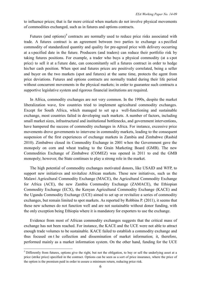to influence prices; that is far more critical when markets do not involve physical movements of commodities exchanged, such as in futures and options contracts.

Futures (and options)<sup>[5](#page-10-1)</sup> contracts are normally used to reduce price risks associated with trade. A futures contract is an agreement between two parties to exchange a s pecified commodity of standardized quantity and quality for pre-agreed price with delivery occurring at a s pecified date in the future. Producers (and traders) can reduce their portfolio risk by taking futures positions. For example, a trader who buys a physical commodity (at a s pot price) to sell it at a future date, can concomitantly sell a futures contract in order to hedge his/her cash position. When spot and futures prices are positively correlated, being a seller and buyer on the two markets (spot and futures) at the same time, protects the agent from price deviations. Futures and options contracts are normally traded during their life period without concurrent movements in the physical markets; in order to guarantee such contracts a supportive legislative system and rigorous financial institutions are required.

In Africa, commodity exchanges are not very common. In the 1990s, despite the market liberalization wave, few countries tried to implement agricultural commodity exchanges. Except for South Africa, which managed to set up a well-functioning and sustainable exchange, most countries failed in developing such markets. A number of factors, including small market sizes, infrastructural and institutional bottlenecks, and government interventions, have hampered the success of commodity exchanges in Africa. For instance, excessive price movements drove governments to intervene in commodity markets, leading to the consequent suspension of the first experiences of exchange markets in Zambia and Zimbabwe (Rashid 2010). Zimbabwe closed its Commodity Exchange in 2001 when the Government gave the monopoly on corn and wheat trading to the Grain Marketing Board (GMB). The new Commodities Exchange of Zimbabwe (COMEZ) was opened in 2011 to end the GMB monopoly; however, the State continues to play a strong role in the market.

The high potential of commodity exchanges motivated donors, like USAID and WFP, to support new initiatives and revitalize African markets. These new initiatives, such us the Malawi Agricultural Commodity Exchange (MACE), the Agricultural Commodity Exchange for Africa (ACE), the new Zambia Commodity Exchange (ZAMACE), the Ethiopian Commodity Exchange (ECX), the Kenyan Agricultural Commodity Exchange (KACE) and the Uganda Commodity Exchange (UCE) aimed to set up or revitalize a series of commodity exchanges, but remain limited to spot markets. As reported by Robbins P. (2011), it seems that these new schemes do not function well and are not sustainable without donor funding, with the only exception being Ethiopia where it is mandatory for exporters to use the exchange.

Evidence from most of African commodity exchanges suggests that the critical mass of exchange has not been reached. For instance, the KACE and the UCE were not able to attract enough trade volumes to be sustainable. KACE failed to establish a commodity exchange and thus focused on t he collection and dissemination of market information; it, therefore, performed mainly as a market information system. On the other hand, funding for the UCE

.<br>-

<span id="page-11-0"></span> $<sup>5</sup>$  Differently from futures, options give the right, but not the obligation, to buy or sell the underlying asset at a</sup> price (strike price) specified in the contract. Options can be seen as a sort of price insurance, where the price of the option is the premium paid in order to assure a minimum return, reducing price risk.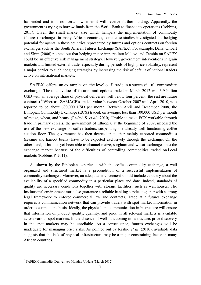has ended and it is not certain whether it will receive further funding. Apparently, the government is trying to borrow funds from the World Bank to finance its operations (Robbins, 2011). Given the small market size which hampers the implementation of commodity (futures) exchanges in many African countries, some case studies investigated the hedging potential for agents in those countries represented by futures and options contracts on foreign exchanges such as the South African Futures Exchange (SAFEX). For example, Dana, Gilbert and Shim (2006) pointed out that hedging maize imports into Malawi and Zambia on SAFEX could be an effective risk management strategy. However, government interventions in grain markets and limited external trade, especially during periods of high price volatility, represent a major barrier to such hedging strategies by increasing the risk of default of national traders active on international markets.

SAFEX offers an ex ample of the level o f trade in a successf ul commodity exchange. The tot al value of futures and options traded in March 2012 was 3.9 billion USD with an average share of physical deliveries well below four percent (the rest are future contracts).<sup>[6](#page-11-0)</sup> Whereas, ZAMACE's traded value between October 2007 and April 2010, was reported to be about 600,000 USD per month. Between April and December 2008, the Ethiopian Commodity Exchange (ECX) traded, on average, less than 100,000 USD per month of maize, wheat, and beans. (Rashid S. *et al*., 2010). Unable to make ECX workable through trade in primary cereals, the government of Ethiopia, at the beginning of 2009, imposed the use of the new exchange on coffee traders, suspending the already well-functioning coffee auction floor. The government has then decreed that other mainly exported commodities (sesame and haricot beans) have to be exported exclusively through the exchange. On the other hand, it has not yet been able to channel maize, sorghum and wheat exchanges into the exchange market because of the difficulties of controlling commodities traded on l ocal markets (Robbins P. 2011).

As shown by the Ethiopian experience with the coffee commodity exchange, a well organized and structured market is a precondition of a successful implementation of commodity exchanges. Moreover, an adequate environment should include certainty about the availability of a specified commodity in a particular place and date. Indeed, standards of quality are necessary conditions together with storage facilities, such as warehouses. The institutional environment must also guarantee a reliable banking service together with a strong legal framework to enforce commercial law and contracts. Trade at a futures exchange requires a communication network that can provide traders with spot market information in order to estimate the basis. Ideally, the physical and communication infrastructure will ensure that information on pr oduct quality, quantity, and price in all relevant markets is available across various spot markets. In the absence of well-functioning infrastructure, price discovery in the spot markets may be unreliable. As a consequence, futures exchanges will be inadequate for managing price risks. As pointed out by Rashid *et al*. (2010), available data suggests that the lack of physical infrastructure may be a major constraining factor in many African countries.

<span id="page-12-0"></span><u>.</u>

<sup>6</sup> SAFEX Commodity Derivatives Monthly Update (March 2012).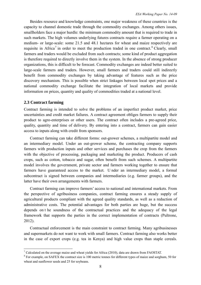Besides resource and knowledge constraints, one major weakness of these countries is the capacity to channel domestic trade through the commodity exchanges. Among others issues, smallholders face a major hurdle: the minimum commodity amount that is required to trade in such markets. The high volumes underlying futures contracts require a farmer operating on a medium- or large-scale: some 21.5 and 48.1 hectares for wheat and maize respectively are requisite in Africa<sup>[7](#page-12-0)</sup> in order to meet the production traded in one contract.<sup>[8](#page-13-1)</sup> Clearly, small farmers and traders would be excluded from such contracts; some kind of product aggregation is therefore required to directly involve them in the system. In the absence of strong producer organizations, this is difficult to be forecast. Commodity exchanges are indeed better suited to large-scale farmers and traders. However, small farmers and traders could still indirectly benefit from commodity exchanges by taking advantage of features such as the price discovery mechanism. This is possible when strict linkages between local spot prices and a national commodity exchange facilitate the integration of local markets and provide information on prices, quantity and quality of commodities traded at a national level.

#### <span id="page-13-0"></span>**2.3 Contract farming**

.<br>-

Contract farming is intended to solve the problems of an imperfect product market, price uncertainties and credit market failures. A contract agreement obliges farmers to supply their product to agro-enterprises or other users. The contract often includes a pre-agreed price, quality, quantity and time of delivery. By entering into a contract, farmers can gain easier access to inputs along with credit from sponsors.

Contract farming can take different forms: out-grower schemes, a multipartite model and an intermediary model. Under an out-grower scheme, the contracting company supports farmers with production inputs and other services and purchases the crop from the farmers with the objective of processing, packaging and marketing the product. Producers of cash crops, such as cotton, tobacco and sugar, often benefit from such schemes. A multipartite model involves the government, private sector and farmers working together to ensure that farmers have guaranteed access to the market. U nder an intermediary model, a formal subcontract is signed between companies and intermediaries (e.g. farmer groups), and the latter have their own arrangements with farmers.

Contract farming can improve farmers' access to national and international markets. From the perspective of agribusiness companies, contract farming ensures a steady supply of agricultural products compliant with the agreed quality standards, as well as a reduction of administrative costs. The potential advantages for both parties are huge, but the success depends on t he soundness of the contractual practices and the adequacy of the legal framework that supports the parties in the correct implementation of contracts (Pultrone, 2012).

Contractual enforcement is the main constraint to contract farming. Many agribusinesses and supermarkets do not want to work with small farmers. Contract farming also works better in the case of export crops (e.g. tea in Kenya) and high value crops than staple cereals.

<span id="page-13-2"></span> $\alpha$ <sup>7</sup> Calculated on the average maize and wheat yields for Africa (2010), data are drawn from FAOSTAT.

<span id="page-13-1"></span><sup>8</sup> For example, on SAFEX the contract size is 100 metric tonnes for different types of maize and sorghum, 50 for wheat and sunflower seeds and 25 for soybeans.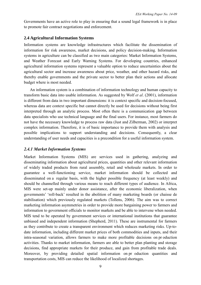Governments have an active role to play in ensuring that a sound legal framework is in place to promote fair contract negotiations and enforcement.

#### <span id="page-14-0"></span>**2.4 Agricultural Information Systems**

Information systems are knowledge infrastructures which facilitate the dissemination of information for risk awareness, market decisions, and policy decision-making. Information systems in agriculture can be classified as two main categories: Market Information Systems, and Weather Forecast and Early Warning Systems. For developing countries, enhanced agricultural information systems represent a valuable option to reduce uncertainties about the agricultural sector and increase awareness about price, weather, and other hazard risks, and thereby enable governments and the private sector to better plan their actions and allocate budget where is most needed.

An information system is a combination of information technology and human capacity to transform basic data into usable information. As suggested by Wolf *et al*. (2001), information is different from data in two important dimensions: it is context specific and decision-focused, whereas data are context specific but cannot directly be used for decisions without being first interpreted through an analytic process. Most often there is a communication gap between data specialists who use technical language and the final users. For instance, most farmers do not have the necessary knowledge to process raw data (Just and Zilberman, 2002) or interpret complex information. Therefore, it is of basic importance to provide them with analysis and possible implications to support understanding and decisions. Consequently, a clear understanding of user needs and capacities is a precondition for a useful information system.

#### <span id="page-14-1"></span>*2.4.1 Market Information Systems*

Market Information Systems (MIS) are services used in gathering, analyzing and disseminating information about agricultural prices, quantities and other relevant information of widely traded products from rural assembly, retail and wholesale markets. In order to guarantee a well-functioning service, market information should be collected and disseminated on a regular basis, with the higher possible frequency (at least weekly) and should be channelled through various means to reach different types of audience. In Africa, MIS were set-up mainly under donor assistance, after the economic liberalization, when governments' 'roll-back' resulted in the abolition of many marketing boards (or chaisse de stabilisation) which previously regulated markets (Tollens, 2006). The aim was to correct marketing information asymmetries in order to provide more bargaining power to farmers and information to government officials to monitor markets and be able to intervene when needed. MIS tend to be operated by government services or international institutions that guarantee unbiased and independent information (Shepherd, 2011). These are instrumental for farmers as they contribute to create a transparent environment which reduces marketing risks. Up-todate information, including different market prices of both commodities and inputs, and their intra-seasonal variation, allows farmers to make more profitable decisions on pr oduction activities. Thanks to market information, farmers are able to better plan planting and storage decisions, find appropriate markets for their produce, and gain from profitable trade deals. Moreover, by providing detailed spatial information on pr oduction quantities and transportation costs, MIS can reduce the likelihood of localized shortages.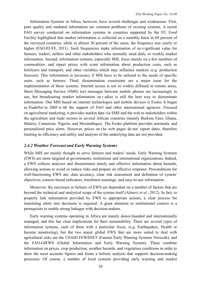Information Systems in Africa, however, have several challenges and weaknesses. First, poor quality and outdated information are common problems of existing systems. A recent FAO survey conducted on information systems in countries supported by the EU Food Facility highlighted that market information is collected on a monthly basis in 69 percent of the surveyed countries; while in almost 30 percent of the cases, the frequency was yearly or higher (FAO/EUFF, 2011). Such frequencies make information of no significant value for farmers, traders, millers and other stakeholders who normally need daily or weekly market information. Second, information systems, especially MIS, focus mainly on a few numbers of commodities, and report prices with scant information about production costs, such as fertilizers and transport, and other variables which may influence markets (e.g. production forecast). This information is necessary if MIS have to be tailored to the needs of specific users, such as farmers. Third, dissemination constraints are a major issue for the implementation of these systems. Internet access is not so widely diffused in remote areas; Short Messaging Service (SMS) text messages between mobile phones are increasingly in use, but broadcasting market information on r adios is still the best way to disseminate information. One MIS based on internet technologies and mobile devices is Esoko. It began as TradeNet in 2005 w ith the support of FAO and other international agencies. Focused on agricultural marketing, it provides market data via SMS and the web to stakeholders within the agriculture and trade sectors in several African countries (mainly Burkina Faso, Ghana, Malawi, Cameroon, Nigeria, and Mozambique). The Esoko platform provides automatic and personalized price alerts. However, prices on the web pages do not report dates, therefore limiting its efficiency and utility, and analysis of the underlying data are not provided.

#### <span id="page-15-0"></span>*2.4.2 Weather Forecast and Early Warning Systems*

While MIS are mainly thought to serve farmers and traders' needs, Early Warning Systems (EWS) are more targeted at governments, institutions and international organizations. Indeed, a EWS collects analyses and disseminates timely and effective information about hazards, allowing actions to avoid or reduce risks and prepare an effective response. Preconditions for well-functioning EWS are: data accuracy, clear risk assessment and definition of system' objectives, context-based indicators, timeliness warnings, and easy-to-use information.

Moreover, the successes or failures of EWS are dependent on a number of factors that are beyond the technical and analytical scope of the system itself (Alinovi *et al*., 2012). In fact, to properly link information provided by EWS to appropriate actions, a clear process for translating alerts into decisions is required. A great attention to institutional context is a prerequisite to enable strong linkages with decision-makers.

Early warning systems operating in Africa are mainly donor-founded and internationally managed, and this has clear implications for their sustainability. There are several types of information systems, each of them with a particular focus, (e.g. Earthquakes, Health or Income monitoring), but the two major global EWS that are more suited to deal with agricultural risks are the USAID FEWSNET (Famine Early Warning Systems Network), and the FAO-GIEWS (Global Information and Early Warning System). These combine information on prices, crop production, weather hazards, and vegetation conditions in order to draw the most accurate figures and foster a holistic analysis that supports decision-making processes. Of course, a number of local systems providing early warning and market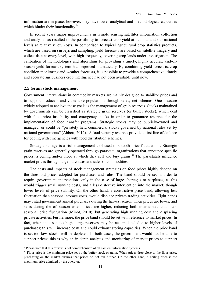information are in place; however, they have lower analytical and methodological capacities which hinder their functionality.<sup>[9](#page-13-2)</sup>

In recent years major improvements in remote sensing satellites information collection and analysis has resulted in the possibility to forecast crop yield at national and sub-national levels at relatively low costs. In comparison to typical agricultural crop statistics products, which are based on surveys and sampling, yield forecasts are based on satellite imagery and collect data at every level, with high frequency, covering crop lands under investigation. The calibration of methodologies and algorithms for providing a timely, highly accurate end-ofseason yield forecast system has improved dramatically. By combining yield forecasts, crop condition monitoring and weather forecasts, it is possible to provide a comprehensive, timely and accurate agribusiness crop intelligence had not been available until now.

#### <span id="page-16-0"></span>**2.5 Grain stock management**

.<br>-

Government interventions in commodity markets are mainly designed to stabilize prices and to support producers and vulnerable populations through safety net schemes. One measure widely adopted to achieve these goals is the management of grain reserves. Stocks maintained by governments can be classified as strategic grain reserves (or buffer stocks), which deal with food price instability and emergency stocks in order to guarantee reserves for the implementation of food transfer programs. Strategic stocks may be publicly-owned and managed, or could be "privately held commercial stocks governed by national rules set by national governments" (Abbott, 2012). A food security reserves provide a first line of defence for coping with emergencies with food distribution schemes.

Strategic storage is a risk management tool used to smooth price fluctuations. Strategic grain reserves are generally operated through parastatal organizations that announce specific prices, a ceiling and/or floor at which they sell and buy grains.<sup>[10](#page-16-1)</sup> The parastatals influence market prices through large purchases and sales of commodities.

The costs and impacts of stock management strategies on food prices highly depend on the threshold prices adopted for purchases and sales. The band should be set in order to require government interventions only in the case of large shortages or surpluses, as this would trigger small running costs, and a less distortive intervention into the market; though lower levels of price stability. On the other hand, a constrictive price band, allowing less fluctuation than seasonal storage costs, would displace private trading activities. Tight bands may entail government annual purchases during the harvest season when prices are lower, and sales during the off-season when prices are higher, reducing both inter-annual and interseasonal price fluctuation (Minot, 2010), but generating high running cost and displacing private activities. Furthermore, the price band should be set with reference to market prices. In fact, when it is set too high, large reserves may be accumulated due to higher levels of purchases; this will increase costs and could exhaust storing capacities. When the price band is set too low, stocks will be depleted. In both cases, the government would not be able to support prices; this is why an in-depth analysis and monitoring of market prices to support

<sup>&</sup>lt;sup>9</sup> Please note that this review is not comprehensive of all existent information systems.

<span id="page-16-2"></span><span id="page-16-1"></span> $10$  Floor price is the minimum price set by the buffer stock operator. When prices drop close to the floor price, purchasing on the market ensures that prices do not fall further. On the other hand, a ceiling price is the maximum price admitted by the operator.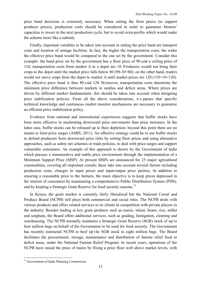price band decisions is extremely necessary. When setting the floor prices (to support producer prices), production costs should be considered in order to guarantee farmers' capacities to invest in the next production cycle, but to avoid extra-profits which would make the scheme more like a subsidy.

Finally, important variables to be taken into account in setting the price band are transport costs and location of storage facilities. In fact, the higher the transportation costs, the wider the effective price band would be compared to the one set by the government. Consider this example: the band price set by the government has a floor price of 90 and a ceiling price of 110; transportation costs from market A to a depot are 10. Producers would not bring their crops to the depot until the market price falls below 80 (90-10=80); on the other hand, traders would not move crops from the depot to market A until market prices are 120 (110+10=120). The effective price band is thus 80 a nd 120. M oreover, transportation costs determine the minimum price difference between markets in surplus and deficit areas. Where prices are driven by different market fundamentals, this should be taken into account when designing price stabilization policies. From all the above considerations, it a ppears that specific technical knowledge and continuous market monitor mechanisms are necessary to guarantee an efficient price stabilization policy.

Evidence from national and international experiences suggests that buffer stocks have been more effective in moderating downward price movements than price increases. In the latter case, buffer stocks can be released up to their depletion; beyond this point there are no means to limit price surges (AMIS, 2011). An effective strategy could be to use buffer stocks to defend producers from downward price risks by setting floor prices and using alternative approaches, such as safety net schemes or trade policies, to deal with price surges and support vulnerable consumers. An example of this approach is shown by the Government of India which pursues a remunerative and stable price environment through the implementation of a Minimum Support Price (MSP). At present MSPs are announced for 25 major agricultural commodities, covering all important cereals; these take into account several factors including production costs, changes to input prices and input/output price parities. In addition to ensuring a reasonable price to the farmers, the main objective is to keep prices depressed in the interest of consumers by maintaining a comprehensive Public Distribution System (PDS), and by keeping a Strategic Grain Reserve for food security reasons.<sup>[11](#page-16-2)</sup>

In Kenya, the grain market is currently fairly liberalized but the National Cereal and Produce Board (NCPB) still plays both commercial and social roles. The NCPB deals with various products and offers related services to its clients in competition with private players in the industry. Besides trading in key grain products such as maize, wheat, beans, rice, millet and sorghum, the Board offers additional services, such as grading, fumigation, cleaning and warehousing. The NCPB normally maintains a Strategic Grain Reserve (SGR) stock of up to four million bags on behalf of the Government to be used for food security. The Government has recently instructed NCPB to beef up the SGR stock to eight million bags. The Board facilitates the procurement, storage, maintenance and distribution of famine relief food to deficit areas, under the National Famine Relief Program. In recent years, operations of the NCPB have raised the price of maize by fixing a price floor well above market levels, with

<u>.</u>

<span id="page-17-0"></span><sup>&</sup>lt;sup>11</sup> Government of India Planning Commission.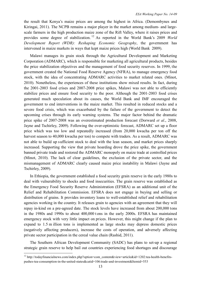the result that Kenya's maize prices are among the highest in Africa. (Demombynes and Kiringai, 2011). The NCPB remains a major player in the market among medium- and largescale farmers in the high production maize zone of the Rift Valley, where it raises prices and provides some degree of stabilization. [12](#page-17-0) As reported in the World Bank's 2009 *World Development Report (WDR): Reshaping Economic Geography*, the government has intervened in maize markets in ways that kept maize prices high (World Bank 2009).

Malawi manages its grain stock through the Agricultural Development and Marketing Corporation (ADMARC), which is responsible for marketing all agricultural products, besides the price stabilization objectives and the management of food security reserves. In 1999, the government created the National Food Reserve Agency (NFRA), to manage emergency food stock, with the idea of concentrating ADMARC activities to market related ones. (Minot, 2010). Nonetheless, the experiences of these institutions show mixed results. In fact, during the 2001-2003 food crises and 2007-2008 price spikes, Malawi was not able to efficiently stabilize prices and ensure food security to the poor. Although the 2001-2003 food crises generated much speculation about its causes, the World Bank and IMF encouraged the government to end interventions in the maize market. This resulted in reduced stocks and a severe food crisis, which was exacerbated by the failure of the government to detect the upcoming crises through its early warning systems. The major factor behind the dramatic price spike of 2007-2008 was an overestimated production forecast (Dorward *et al*., 2008, Jayne and Tschirley, 2009). Following the over-optimistic forecast, ADMARC set up a floor price which was too low and repeatedly increased (from 20,000 kwacha per ton off the harvest season to 40,000 kwacha per ton) to compete with traders. As a result, ADMARC was not able to build up sufficient stock to deal with the lean season, and market prices sharply increased. Supporting the view that private hoarding drove the price spike, the government banned private trade and restored the ADMARC monopoly on maize trade at controlled prices (Minot, 2010). The lack of clear guidelines, the exclusion of the private sector, and the mismanagement of ADMARC clearly caused maize price instability in Malawi (Jayne and Tschirley, 2009).

In Ethiopia, the government established a food security grain reserve in the early 1980s to deal with vulnerability to shocks and food insecurities. The grain reserve was established as the Emergency Food Security Reserve Administration (EFSRA) as an additional unit of the Relief and Rehabilitation Commission. EFSRA does not engage in buying and selling or distribution of grains. It provides inventory loans to well-established relief and rehabilitation agencies working in the country. It releases grain to agencies with an agreement that they will repay in-kind on a pre-agreed date. The stock levels have increased from about 200,000 tons in the 1980s and 1990s to about 400,000 t ons in the early 2000s. EFSRA has maintained emergency stock with very little impact on prices. However, this might change if the plan to expand to 1.5 m illion tons is implemented as large stocks may depress domestic prices (negatively affecting producers), increase the costs of operation, and adversely affecting private sector participation in the cereal value chain (Rashid, 2011).

The Southern African Development Community (SADC) has plans to set-up a regional strategic grain reserve to help bail out countries experiencing food shortages and discourage

<u>.</u>

<span id="page-18-0"></span><sup>&</sup>lt;sup>12</sup> http://todayfinancialnews.com/index.php?option=com\_content&view=article&id=1202:tea-health-benefitspushes-tea-consumption-in-the-united-states&catid=106:trade-and-investment&Itemid=553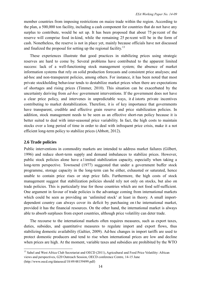member countries from imposing restrictions on maize trade within the region. According to the plan, a 500,000 ton facility, including a cash component for countries that do not have any surplus to contribute, would be set up. It has been proposed that about 75 pe rcent of the reserve will comprise food in-kind, while the remaining 25 pe rcent will be in the form of cash. Nonetheless, the reserve is not in place yet, mainly because officials have not discussed and finalized the proposal for setting up the regional facility.<sup>[13](#page-18-0)</sup>

These experiences illustrate that good practices in stabilizing prices using strategic reserves are hard to come by. Several problems have contributed to the apparent limited success: lack of a well-functioning stock management system; the absence of market information systems that rely on solid production forecasts and consistent price analyses; and ad-hoc and non-transparent policies, among others. For instance, it has been noted that most private stockholding behaviour tends to destabilize market prices when there are expectations of shortages and rising prices (Timmer, 2010). This situation can be exacerbated by the uncertainty deriving from *ad-hoc* government interventions. If the government does not have a clear price policy, and intervenes in unpredictable ways, it d istorts private incentives contributing to market destabilization. Therefore, it is of key importance that governments have transparent, credible and effective grain reserve and price stabilization policies. In addition, stock management needs to be seen as an effective short-run policy because it is better suited to deal with inter-seasonal price variability. In fact, the high costs to maintain stocks over a long period of time in order to deal with infrequent price crisis, make it a not efficient long-term policy to stabilize prices (Abbott, 2012).

#### <span id="page-19-0"></span>**2.6 Trade policies**

.<br>-

Public interventions in commodity markets are intended to address market failures (Gilbert, 1996) and reduce short-term supply and demand imbalances to stabilize prices. However, public stock policies alone have a l imited stabilization capacity, especially when taking a long-term perspective. Townsend (1977) suggested that under a government buffer stock programme, storage capacity in the long-term can be either, exhausted or saturated, hence unable to contain price rises or stop price falls. Furthermore, the high costs of stock management suggest that stabilization policies should rely not only on stocks, but also on trade policies. This is particularly true for those countries which are not food self-sufficient. One argument in favour of trade policies is the advantage coming from international markets which could be seen as providing an 'unlimited stock' at least in theory. A small importdependent country can always cover its deficit by purchasing on t he international market, provided it has the financial resources. On the other hand, the international market is always able to absorb surpluses from export countries, although price volatility can deter trade.

The recourse to the international markets often requires measures, such as export taxes, duties, subsides, and quantitative measures to regulate import and export flows, thus stabilizing domestic availability (Galtier, 2009). Ad-hoc changes in import tariffs are used to protect domestic producers and tend to rise when international prices are low and decline when prices are high. At the moment, variable taxes and subsidies are prohibited by the WTO

<span id="page-19-1"></span><sup>&</sup>lt;sup>13</sup> Sahel and West Africa Club Secretariat and OECD (2011), Agricultural and Food Price Volatility: African views and perspectives, G20 Outreach Session, OECD conference Centre, 14-15 June (http://www.oecd.org/dataoecd/18/49/48159499.pdf)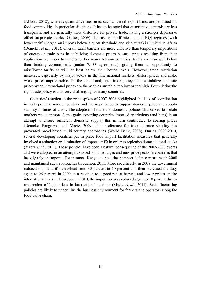(Abbott, 2012), whereas quantitative measures, such as cereal export bans, are permitted for food commodities in particular situations. It has to be noted that quantitative controls are less transparent and are generally more distortive for private trade, having a stronger depressive effect on pr ivate stocks (Galtier, 2009). The use of tariff-rate quota (TRQ) regimes (with lower tariff charged on imports below a quota threshold and vice versa) is limited in Africa (Demeke, *et al*., 2013). Overall, tariff barriers are more effective than temporary impositions of quotas or trade bans in stabilizing domestic prices because prices resulting from their application are easier to anticipate. For many African countries, tariffs are also well below their binding commitments (under WTO agreements), giving them an opportunity to raise/lower tariffs at will, at least below their bound l evels. However, trade restriction measures, especially by major actors in the international markets, distort prices and make world prices unpredictable. On the other hand, open trade policy fails to stabilize domestic prices when international prices are themselves unstable, too low or too high. Formulating the right trade policy is thus very challenging for many countries.

Countries' reaction to the price spikes of 2007-2008 highlighted the lack of coordination in trade policies among countries and the importance to support domestic price and supply stability in times of crisis. The adoption of trade and domestic policies that served to isolate markets was common. Some grain exporting countries imposed restrictions (and bans) in an attempt to ensure sufficient domestic supply; this in turn contributed to soaring prices (Demeke, Pangrazio, and Maetz, 2009). The preference for internal price stability has prevented broad-based multi-country approaches (World Bank, 2008). During 2009-2010, several developing countries put in place food import facilitation measures that generally involved a reduction or elimination of import tariffs in order to replenish domestic food stocks (Maetz *et al.*, 2011). These policies have been a natural consequence of the 2007-2008 events and were adopted in an attempt to avoid food shortages and new price peaks in countries that heavily rely on imports. For instance, Kenya adopted these import defence measures in 2008 and maintained such approaches throughout 2011. More specifically, in 2008 the government reduced import tariffs on w heat from 35 percent to 10 percent and then increased the duty again to 25 percent in 2009 as a reaction to a good wheat harvest and lower prices on the international market. However, in 2010, the import tax was reduced again to 10 percent due to resumption of high prices in international markets (Maetz *et al*., 2011). Such fluctuating policies are likely to undermine the business environment for farmers and operators along the food value chain.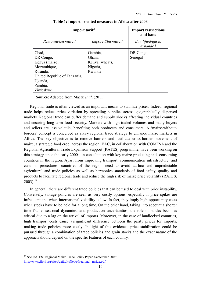| <b>Import tariff</b>                                                                                                             | <b>Import restrictions</b><br>and bans                    |                              |
|----------------------------------------------------------------------------------------------------------------------------------|-----------------------------------------------------------|------------------------------|
| Removed/decreased                                                                                                                | <i>Imposed/Increased</i>                                  | Ban lifted/quota<br>expanded |
| Chad,<br>DR Congo,<br>Kenya (maize),<br>Mozambique,<br>Rwanda,<br>United Republic of Tanzania,<br>Uganda,<br>Zambia,<br>Zimbabwe | Gambia.<br>Ghana,<br>Kenya (wheat),<br>Nigeria,<br>Rwanda | DR Congo,<br>Senegal         |

**Table 1: Import oriented measures in Africa after 2008**

**Source:** Adapted from Maetz *et al*. (2011)

Regional trade is often viewed as an important means to stabilize prices. Indeed, regional trade helps reduce price variation by spreading supplies across geographically dispersed markets. Regional trade can buffer demand and supply shocks affecting individual countries and ensuring long-term food security. Markets with high-traded volumes and many buyers and sellers are less volatile, benefiting both producers and consumers. A 'maize-withoutborders' concept is conceived as a key regional trade strategy to enhance maize markets in Africa. The key objective is to remove barriers and facilitate cross-border movement of maize, a strategic food crop, across the region. EAC, in collaboration with COMESA and the Regional Agricultural Trade Expansion Support (RATES) programme, have been working on this strategy since the early 2000s, in consultation with key maize-producing and -consuming countries in the region. Apart from improving transport, communication infrastructure, and customs procedures, countries of the region need to avoid ad-hoc and unpredictable agricultural and trade policies as well as harmonize standards of food safety, quality and products to facilitate regional trade and reduce the high risk of maize price volatility (RATES,  $2003$ ).<sup>[14](#page-19-1)</sup>

In general, there are different trade policies that can be used to deal with price instability. Conversely, storage policies are seen as very costly options, especially if price spikes are infrequent and when international volatility is low. In fact, they imply high opportunity costs when stocks have to be held for a long time. On the other hand, taking into account a shorter time frame, seasonal dynamics, and production uncertainties, the role of stocks becomes critical due to a lag on the arrival of imports. Moreover, in the case of landlocked countries, high transport costs cause a s ignificant difference between the parity prices for imports, making trade policies more costly. In light of this evidence, price stabilization could be pursued through a combination of trade policies and grain stocks and the exact nature of the approach should depend on the specific features of each country.

<u>.</u>

<span id="page-21-0"></span><sup>&</sup>lt;sup>14</sup> See RATES. Regional Maize Trade Policy Paper, September 2003: [http://www.ifpri.org/sites/default/files/p6regional\\_maize.pdf](http://www.ifpri.org/sites/default/files/p6regional_maize.pdf)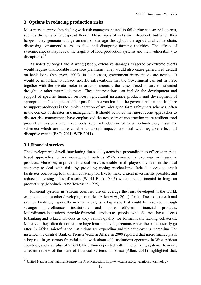#### <span id="page-22-0"></span>**3. Options in reducing production risks**

Most market approaches dealing with risk management tend to fail during catastrophic events, such as droughts or widespread floods. These types of risks are infrequent, but when they happen, they generate a large amount of damage throughout the agricultural value chain, distressing consumers' access to food and disrupting farming activities. The effects of systemic shocks may reveal the fragility of food production systems and their vulnerability to disruptions.<sup>15</sup>

As noted by Siegel and Alwang (1999), extensive damages triggered by extreme events would require unaffordable insurance premiums. They would also cause generalized default on bank loans (Anderson, 2002). In such cases, government interventions are needed. It would be important to foresee specific interventions that the Government can put in place together with the private sector in order to decrease the losses faced in case of extended drought or other natural disasters. These interventions can include the development and support of specific financial services, agricultural insurance products and development of appropriate technologies. Another possible intervention that the government can put in place to support producers is the implementation of well-designed farm safety nets schemes, often in the context of disaster risk management. It should be noted that more recent approaches to disaster risk management have emphasized the necessity of constructing more resilient food production systems and livelihoods (e.g. introduction of new technologies, insurance schemes) which are more capable to absorb impacts and deal with negative effects of disruptive events (FAO, 2011; WFP, 2011).

#### <span id="page-22-1"></span>**3.1 Financial services**

The development of well-functioning financial systems is a precondition to effective marketbased approaches to risk management such as WRS, commodity exchange or insurance products. Moreover, improved financial services enable small players involved in the rural economy to deal with risks by providing coping mechanisms. Indeed, access to credit facilitates borrowing to maintain consumption levels, make critical investments possible, and reduce distressing sales of assets (World Bank, 2005) which are detrimental to long-run productivity (Morduch 1995; Townsend 1995).

Financial systems in African countries are on average the least developed in the world, even compared to other developing countries (Allen *et al*., 2011). Lack of access to credit and savings facilities, especially in rural areas, is a big issue that could be resolved through stronger microfinance institutions and more efficient financial products. Microfinance institutions provide financial services to people who do not have access to banking and related services as they cannot qualify for formal loans lacking collaterals. Moreover, they often do not require large loans or saving accounts which the banks usually go after. In Africa, microfinance institutions are expanding and their turnover is increasing. For instance, the Central Bank of French Western Africa in 2009 reported that microfinance plays a key role in grassroots financial tools with about 400 institutions operating in West African countries, and a surplus of 25-30 CFA billion deposited within the banking system. However, a recent review of the state of financial systems in Africa (Allen, 2011) highlighted that,

<span id="page-22-2"></span><sup>&</sup>lt;u>.</u> <sup>15</sup> United Nations International Strategy for Risk Reduction:<http://www.unisdr.org/we/inform/terminology>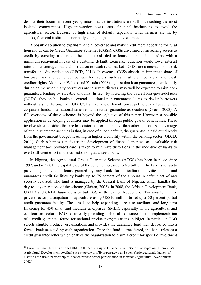despite their boom in recent years, microfinance institutions are still not reaching the most isolated communities. High transaction costs cause financial institutions to avoid the agricultural sector. Because of high risks of default, especially when farmers are hit by shocks, financial institutions normally charge high annual interest rates.

A possible solution to expand financial coverage and make credit more appealing for rural households can be Credit Guarantee Schemes (CGSs). CGSs are aimed at increasing access to credit by covering a s hare of the default risk tied to loans, guaranteeing lenders with a minimum repayment in case of a customer default. Loan risk reduction would lower interest rates and encourage financial institution to reach rural markets. CGSs are a mechanism of risk transfer and diversification (OECD, 2011). In essence, CGSs absorb an important share of borrower risk and could compensate for factors such as insufficient collateral and weak creditor rights. Moreover, Wilcox and Yasuda (2008) suggest that loan guarantees, particularly during a time when many borrowers are in severe distress, may well be expected to raise nonguaranteed lending by sizeable amounts. In fact, by lowering the overall loss-given-defaults (LGDs), they enable banks to extend additional non-guaranteed loans to riskier borrowers without raising the original LGD. CGDs may take different forms: public guarantee schemes, corporate funds, international schemes and mutual guarantee associations (Green, 2003). A full overview of these schemes is beyond the objective of this paper. However, a possible application in developing countries may be applied through public guarantee schemes. These involve state subsidies that are less distortive for the market than other options. An advantage of public guarantee schemes is that, in case of a loan default, the guarantee is paid out directly from the government budget, resulting in higher credibility within the banking sector (OECD, 2011). Such schemes can foster the development of financial markets as a valuable risk management tool provided care is taken to minimize distortions in the incentive of banks to exert sufficient effort in the collection of guaranteed loans.

In Nigeria, the Agricultural Credit Guarantee Scheme (ACGS) has been in place since 1997, and in 2001 the capital base of the scheme increased to N3 billion. The fund is set up to provide guarantees to loans granted by any bank for agricultural activities. The fund guarantees credit facilities by banks up to 75 percent of the amount in default net of any security realized. The fund is managed by the Central Bank of Nigeria, which handles the day-to-day operations of the scheme (Olaitan, 2006). In 2008, the African Development Bank, USAID and CRDB launched a partial CGS in the United Republic of Tanzania to finance private sector participation in agriculture using US\$10 million to set up a 50 percent partial credit guarantee facility. The aim is to help expanding access to medium- and long-term financing for 450 small and medium enterprises (SMEs), especially in the agricultural and eco-tourism sector.<sup>[16](#page-22-2)</sup> FAO is currently providing technical assistance for the implementation of a credit guarantee found for national producer organizations in Niger. In particular, FAO selects eligible producer organizations and provides the guarantee fund then deposited into a formal bank selected by each organization. Once the fund is transferred, the bank releases a credit guarantee letter which enables the organization to claim a credit for specific investment

.<br>-

<span id="page-23-0"></span><sup>&</sup>lt;sup>16</sup> Tanzania: Launch of Historic AfDB-USAID Partnership to Finance Private Sector Participation in Tanzania's Agricultural Development. Available at : http://www.afdb.org/en/news-and-events/article/tanzania-launch-ofhistoric-afdb-usaid-partnership-to-finance-private-sector-participation-in-tanzanias-agricultural-development-2442/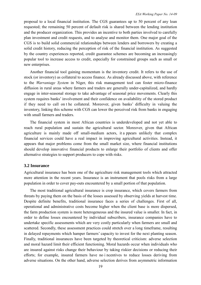proposal to a local financial institution. The CGS guarantees up to 50 percent of any loan requested; the remaining 50 percent of default risk is shared between the lending institution and the producer organization. This provides an incentive to both parties involved to carefully plan investment and credit requests, and to analyse and monitor them. One major goal of the CGS is to build solid commercial relationships between lenders and borrowers by creating a solid credit history, reducing the perception of risk of the financial institution. As suggested by the country experiences reported, credit guarantee schemes are becoming an increasingly popular tool to increase access to credit, especially for constrained groups such as small or new enterprises.

Another financial tool gaining momentum is the inventory credit. It refers to the use of stock (or inventory) as collateral to access finance. As already discussed above, with reference to the *Warrantage System* in Niger, this risk management tool can foster micro-finance diffusion in rural areas where farmers and traders are generally under-capitalized, and hardly engage in inter-seasonal storage to take advantage of seasonal price movements. Clearly this system requires banks' involvement and their confidence on availability of the stored product if they need to call on t he collateral. Moreover, given banks' difficulty in valuing the inventory, linking this scheme with CGS can lower the perceived risk from banks in engaging with small farmers and traders.

The financial system in most African countries is underdeveloped and not yet able to reach rural population and sustain the agricultural sector. Moreover, given that African agriculture is mainly made off small-medium actors, it a ppears unlikely that complex financial services could have a real impact in improving agricultural activities. Instead, it appears that major problems come from the small market size, where financial institutions should develop innovative financial products to enlarge their portfolio of clients and offer alternative strategies to support producers to cope with risks.

#### <span id="page-24-0"></span>**3.2 Insurance**

Agricultural insurance has been one of the agriculture risk management tools which attracted more attention in the recent years. Insurance is an instrument that pools risks from a large population in order to cover pay-outs encountered by a small portion of that population.

The most traditional agricultural insurance is crop insurance, which covers farmers from threats by paying them on the basis of the losses assessed by observing yields at harvest time. Despite definite benefits, traditional insurance faces a series of challenges. First of all, operational and administrative costs become higher when the client base is more dispersed, the farm production system is more heterogeneous and the insured value is smaller. In fact, in order to define losses encountered by individual subscribers, insurance companies have to undertake specific assessments which are very costly particularly when farmers are small and scattered. Secondly, these assessment practices could stretch over a long timeframe, resulting in delayed repayments which hamper farmers' capacity to invest for the next planting season. Finally, traditional insurances have been targeted by theoretical criticism: adverse selection and moral hazard limit their efficient functioning. Moral hazards occur when individuals who are insured against risks change their behaviour by taking riskier decisions or reducing their efforts; for example, insured farmers have no i ncentives to reduce losses deriving from adverse situations. On the other hand, adverse selection derives from asymmetric information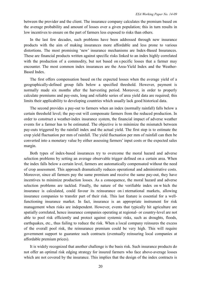between the provider and the client. The insurance company calculates the premium based on the average probability and amount of losses over a given population; this in turn results in low incentives to ensure on the part of farmers less exposed to risks than others.

In the last few decades, such problems have been addressed through new insurance products with the aim of making insurances more affordable and less prone to various distortions. The most promising 'new' insurance mechanisms are Index-Based Insurances. These are financial products written against specific risks linked to an index highly correlated with the production of a commodity, but not based on specific losses that a farmer may encounter. The most common index insurances are the Area-Yield Index and the Weather-Based Index.

The first offers compensation based on the expected losses when the average yield of a geographically-defined group falls below a specified threshold. However, payment is normally made six months after the harvesting period. Moreover, in order to properly calculate premiums and pay-outs, long and reliable series of area yield data are required; this limits their applicability to developing countries which usually lack good historical data.

The second provides a pay-out to farmers when an index (normally rainfall) falls below a certain threshold level; the pay-out will compensate farmers from the reduced production. In order to construct a weather-index insurance system, the financial impact of adverse weather events for a farmer has to be estimated. The objective is to minimize the mismatch between pay-outs triggered by the rainfall index and the actual yield. The first step is to estimate the crop yield fluctuation per mm of rainfall. The yield fluctuation per mm of rainfall can then be converted into a monetary value by either assessing farmers' input costs or the expected sales margin.

Both types of index-based insurances try to overcome the moral hazard and adverse selection problems by setting an average observable trigger defined on a certain area. When the index falls below a certain level, farmers are automatically compensated without the need of crop assessment. This approach dramatically reduces operational and administrative costs. Moreover, since all farmers pay the same premium and receive the same pay-out, they have incentives to minimize production losses. As a consequence, the moral hazard and adverse selection problems are tackled. Finally, the nature of the verifiable index on w hich the insurance is calculated, could favour its reinsurance on i nternational markets, allowing insurance companies to transfer part of their risk. This last feature is essential for a wellfunctioning insurance market. In fact, insurance is an appropriate instrument for risk management when risks are independent. However, events that typically hit agriculture are spatially correlated, hence insurance companies operating at regional- or country-level are not able to pool risk efficiently and protect against systemic risks, such as droughts, floods, earthquakes, etc., thus failing to reduce the risk. When a local company reinsures the excess of the overall pool risk, the reinsurance premium could be very high. This will require government support to guarantee such contracts (eventually reinsuring local companies at affordable premium prices).

It is widely recognized that another challenge is the basis risk. Such insurance products do not offer an optimal risk edging strategy for insured farmers who face above-average losses which are not covered by the insurance. This implies that the design of the index contracts is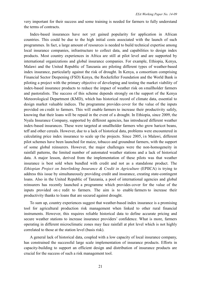very important for their success and some training is needed for farmers to fully understand the terms of contracts.

Index-based insurances have not yet gained popularity for application in African countries. This could be due to the high initial costs associated with the launch of such programmes. In fact, a large amount of resources is needed to build technical expertise among local insurance companies, infrastructure to collect data, and capabilities to design index products. Most country experiences in Africa are still at pilot level and are supported by international organizations and global insurance companies. For example, Ethiopia, Kenya, Malawi and the United Republic of Tanzania are piloting different types of weather-based index insurance, particularly against the risk of drought. In Kenya, a consortium comprising Financial Sector Deepening (FSD) Kenya, the Rockefeller Foundation and the World Bank is piloting a project with the primary objective of developing and testing the market viability of index-based insurance products to reduce the impact of weather risk on smallholder farmers and pastoralists. The success of this scheme depends strongly on the support of the Kenya Meteorological Department (KMD), which has historical record of climate data, essential to design market valuable indices. The programme provides cover for the value of the inputs provided on credit to farmers. This will enable farmers to increase their productivity safely, knowing that their loans will be repaid in the event of a drought. In Ethiopia, since 2009, the Nyala Insurance Company, supported by different agencies, has introduced different weather index-based insurances. These were targeted at smallholder farmers who grow haricot beans, teff and other cereals. However, due to a lack of historical data, problems were encountered in calculating price index insurance to scale up the projects. Since 2005, in Malawi, different pilot schemes have been launched for maize, tobacco and groundnut farmers, with the support of some global reinsurers. However, the major challenges were the non-homogeneity in rainfall patterns, the limited number of automated weather stations and a lack of historical data. A major lesson, derived from the implementation of these pilots was that weather insurance is best sold when bundled with credit and not as a standalone product. The *Ethiopian Project on Interlinking Insurance & Credit in Agriculture* (EPIICA) is trying to address this issue by simultaneously providing credit and insurance, creating state-contingent loans. Also in the United Republic of Tanzania, a pool of international agencies and global reinsurers has recently launched a programme which provides cover for the value of the inputs provided on c redit to farmers. The aim is to enable farmers to increase their productivity thanks to loans that are secured against drought.

To sum up, country experiences suggest that weather-based index insurance is a promising tool for agricultural production risk management when linked to other rural financial instruments. However, this requires reliable historical data to define accurate pricing and secure weather stations to increase insurance providers' confidence. What is more, farmers operating in different microclimatic zones may face rainfall at plot level which is not highly correlated to those at the station level (basis risk).

A general lack of historical data, coupled with a low capacity of local insurance company, has constrained the successful large scale implementation of insurance products. Efforts in capacity-building to support an efficient design and distribution of insurance products are crucial for the success of such a risk management tool.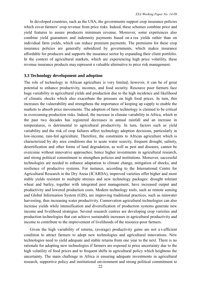In developed countries, such as the USA, the governments support crop insurance policies which cover farmers' crop revenue from price risks. Indeed, these schemes combine price and yield features to assure producers minimum revenue. Moreover, some experiences also combine yield guarantees and indemnity payments based on a rea yields rather than on individual farm yields, which can reduce premium payments. The premiums for these crop insurance policies are generally subsidized by governments, which makes insurance affordable for producers and supports the insurance sector by expanding their client portfolio. In the context of agricultural markets, which are experiencing high price volatility, these revenue insurance products may represent a valuable alternative to price risk management.

#### <span id="page-27-0"></span>**3.3 Technology development and adoption**

The role of technology in African agriculture is very limited; however, it can be of great potential to enhance productivity, incomes, and food security. Resource poor farmers face huge variability in agricultural yields and production due to the high incidence and likelihood of climatic shocks which also exacerbate the pressure on high food prices. In turn, this increases the vulnerability and strengthens the importance of keeping up supply to enable the markets to absorb price movements. The adoption of farm technology is claimed to be critical in overcoming production risks. Indeed, the increase in climate variability in Africa, which in the past two decades has registered decreases in annual rainfall and an increase in temperatures, is detrimental to agricultural productivity. In turn, factors such as yield variability and the risk of crop failures affect technology adoption decisions, particularly in low-income, rain-fed agriculture. Therefore, the constraints to African agriculture which is characterized by dry area conditions due to acute water scarcity, frequent drought, salinity, desertification and other forms of land degradation, as well as pest and diseases, cannot be overcome without innovative approaches; hence higher investments in agricultural research, and strong political commitment to strengthen policies and institutions. Moreover, successful technologies are needed to enhance adaptation to climate change, mitigation of shocks, and resilience of productive systems. For instance, according to the International Centre for Agricultural Research in the Dry Areas (ICARDA), improved varieties offer higher and more stable yields resistant to multiple stresses and new technology packages: drought tolerant wheat and barley, together with integrated pest management, have increased output and productivity and lowered production costs. Modern technology tools, such as remote sensing and Global Information System (GIS), are improving traditional practices, such as rainwater harvesting, thus increasing water productivity. Conservation agricultural technologies can also increase yields while intensification and diversification of production systems generate new income and livelihood strategies. Several research centres are developing crop varieties and production technologies that can achieve sustainable increases in agricultural productivity and income to contribute to the improvement of livelihoods of the resource-poor farmers.

Given the high variability of returns, (average) productivity gains are not a s ufficient condition to attract farmers to adopt new technologies and agricultural innovations. New technologies need to yield adequate and stable returns from one year to the next. There is no rationale for adopting new technologies if farmers are exposed to price uncertainty due to the high volatility of food prices and to frequent shifts in agricultural policy which heightens the uncertainty. The main challenge in Africa is ensuring adequate investments in agricultural research, supportive policy and institutional environment and strong political commitment to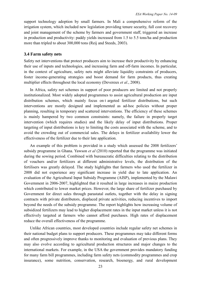support technology adoption by small farmers. In Mali a comprehensive reform of the irrigation system, which included new legislation providing tenure security, full cost recovery and joint management of the scheme by farmers and government staff, triggered an increase in production and productivity: paddy yields increased from 1.5 to 5.5 tons/ha and production more than tripled to about 300,000 tons (Reij and Steeds, 2003).

#### <span id="page-28-0"></span>**3.4 Farm safety nets**

Safety net interventions that protect producers aim to increase their productivity by enhancing their use of inputs and technologies, and increasing farm and off-farm incomes. In particular, in the context of agriculture, safety nets might alleviate liquidity constraints of producers, foster income-generating strategies and boost demand for farm products, thus creating multiplier effects throughout the local economy (Devereux *et al*., 2008).

In Africa, safety net schemes in support of poor producers are limited and not properly institutionalized. Most widely adopted programmes to assist agricultural production are input distribution schemes, which mainly focus on t argeted fertilizer distributions, but such interventions are mostly designed and implemented as ad-hoc policies without proper planning, resulting in temporary and scattered interventions. The efficiency of these schemes is mainly hampered by two common constraints: namely, the failure in properly target intervention (which requires studies) and the likely delay of input distributions. Proper targeting of input distributions is key to limiting the costs associated with the scheme, and to avoid the crowding out of commercial sales. The delays in fertilizer availability lower the effectiveness of the fertilizer due to their late application.

An example of this problem is provided in a study which assessed the 2008 fertilizers' subsidy programme in Ghana. Yawson *et al* (2010) reported that the programme was initiated during the sowing period. Combined with bureaucratic difficulties relating to the distribution of vouchers and/or fertilizers at different administrative levels, the distribution of the fertilisers was greatly delayed. The study highlights that farmers who used the fertilizer in 2008 did not experience any significant increase in yield due to late application. An evaluation of the Agricultural Input Subsidy Programme (AISP), implemented by the Malawi Government in 2006-2007, highlighted that it resulted in large increases in maize production which contributed to lower market prices. However, the large share of fertilizer purchased by Government for direct sales through parastatal outlets, together with the delay in signing contracts with private distributors, displaced private activities, reducing incentives to import beyond the needs of the subsidy programme. The report highlights how increasing volume of subsidized fertilizers may lead to higher displacement rates in the input market unless it is not effectively targeted at farmers who cannot afford purchases. High rates of displacement reduce the overall effectiveness of the programme.

Unlike African countries, most developed countries include regular safety net schemes in their national budget plans to support producers. These programmes may take different forms and often progressively improve thanks to monitoring and evaluation of previous plans. They may also evolve according to agricultural production structures and major changes to the international markets. For example, in the USA the government provides mandatory funding for many farm bill programmes, including farm safety nets (commodity programmes and crop insurance), some nutrition, conservation, research, bioenergy, and rural development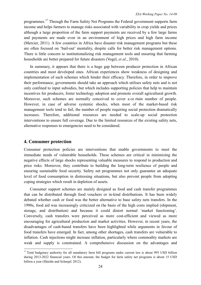programmes.<sup>[17](#page-23-0)</sup> Through the Farm Safety Net Programs the Federal government supports farm income and helps farmers to manage risks associated with variability in crop yields and prices although a large proportion of the farm support payments are received by a few large farms and payments are made even in an environment of high prices and high farm income (Mercier, 2011). A few countries in Africa have disaster risk management programs but these are often focused on 'bail-out' mentality, despite calls for better risk management options. There is little concern to institutionalizing risk management tools and ensuring that farming households are better prepared for future disasters (Vogel, *et al*., 2010).

In summary, it appears that there is a huge gap between producer protection in African countries and most developed ones. African experiences show weakness of designing and implementation of such schemes which hinder their efficacy. Therefore, in order to improve their performance, governments should take an approach which utilises safety nets and is not only confined to input subsidies, but which includes supporting policies that help to maintain incentives for producers, foster technology adoption and promote overall agricultural growth. Moreover, such schemes are normally conceived to cover a ce rtain number of people. However, in case of adverse systemic shocks, when most of the market-based risk management tools tend to fail, the number of people requiring social protection dramatically increases. Therefore, additional resources are needed to scale-up social protection interventions to ensure full coverage. Due to the limited resources of the existing safety nets, alternative responses to emergencies need to be considered.

#### <span id="page-29-0"></span>**4. Consumer protection**

.<br>-

Consumer protection policies are interventions that enable governments to meet the immediate needs of vulnerable households. These schemes are critical in minimizing the negative effects of large shocks representing valuable measures to respond to production and price risks. Moreover, they contribute to building the long-term resilience of people and ensuring sustainable food security. Safety net programmes not only guarantee an adequate level of food consumption in distressing situations, but also prevent people from adopting coping strategies which result in depletion of assets.

Consumer support schemes are mainly designed as food and cash transfer programmes that can be distributed through food vouchers or in-kind distributions. It has been widely debated whether cash or food was the better alternative to base safety nets transfers. In the 1990s, food aid was increasingly criticized on the basis of the high costs implied (shipment, storage, and distribution) and because it could distort normal 'market functioning'. Conversely, cash transfers were perceived as more cost-efficient and viewed as more encouraging for agricultural production and market activities. However, in recent years, the disadvantages of cash-based transfers have been highlighted while arguments in favour of food transfers have emerged. In fact, among other shortages, cash transfers are vulnerable to inflation. Cash injections might increase inflation, particularly where commodity markets are weak and supply is constrained. A comprehensive discussion on the advantages and

<span id="page-29-1"></span><sup>&</sup>lt;sup>17</sup> Total budgetary authority for all mandatory farm bill programs under current law is about 995 USD billion during 2013-2022 financial years. Of this amount, the budget for farm safety net programs is about 15 USD billion a year (Shields and Schnepf, 2012).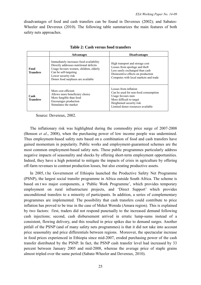disadvantages of food and cash transfers can be found in Devereux (2002); and Sabates-Wheeler and Devereux (2010). The following table summarizes the main features of both safety nets approaches.

|                          | <b>Advantages</b>                                                                                                                                                                                                  | <b>Disadvantages</b>                                                                                                                                                                |  |
|--------------------------|--------------------------------------------------------------------------------------------------------------------------------------------------------------------------------------------------------------------|-------------------------------------------------------------------------------------------------------------------------------------------------------------------------------------|--|
| Food<br><b>Transfers</b> | Immediately increases food availability<br>Directly addresses nutritional deficits<br>Usage favours women, children, elderly<br>Can be self-targeting<br>Lower security risk<br>Donor food surpluses are available | High transport and storage cost<br>Losses from spoilage and theft<br>Less easily exchanged than cash<br>Disincentive effects on production<br>Competes with local markets and trade |  |
| Cash<br>Transfers        | More cost efficient<br>Allows more beneficiary choice<br>More fungible than food<br>Encourages production<br>Stimulates the market                                                                                 | Losses from inflation<br>Can be used for non-food consumption<br>Usage favours men<br>More difficult to target<br>Heightened security risk<br>Limited donor resources available     |  |

| <b>Table 2: Cash versus food transfers</b> |  |  |  |  |  |
|--------------------------------------------|--|--|--|--|--|
|--------------------------------------------|--|--|--|--|--|

Source: Devereux, 2002.

The inflationary risk was highlighted during the commodity price surge of 2007-2008 (Benson *et al*., 2008), when the purchasing power of low income people was undermined. Thus employment-based safety nets based on a combination of food and cash transfers have gained momentum in popularity. Public works and employment-guaranteed schemes are the most common employment-based safety nets. These public programmes particularly address negative impacts of seasonality and shocks by offering short-term employment opportunities. Indeed, they have a high potential to mitigate the impacts of crisis in agriculture by offering off-farm revenues to contrast production losses, but also creating productive assets.

In 2005, t he Government of Ethiopia launched the Productive Safety Net Programme (PSNP), the largest social transfer programme in Africa outside South Africa. The scheme is based on t wo major components, a 'Public Work Programme', which provides temporary employment on rural infrastructure projects, and 'Direct Support' which provides unconditional transfers to a minority of participants. In addition, a series of complementary programmes are implemented. The possibility that cash transfers could contribute to price inflation has proved to be true in the case of Meket Woreda (Amara region). This is explained by two factors: first, traders did not respond punctually to the increased demand following cash injections; second, cash disbursement arrived in erratic lump-sums instead of a consistent, flowing delivery, and this resulted in price spikes due to demand surges. Another pitfall of the PSNP (and of many safety nets programmes) is that it did not take into account price seasonality and price differentials between regions. Moreover, the spectacular increase in food prices experienced in Ethiopia since mid-2007, eroded purchasing power of the cash transfer distributed by the PSNP. In fact, the PSNP cash transfer level had increased by 33 percent between January 2005 and mid-2008, whereas the average price of staple grains almost tripled over the same period (Sabate-Wheeler and Devereux, 2010).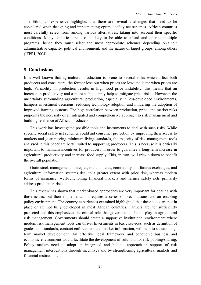The Ethiopian experience highlights that there are several challenges that need to be considered when designing and implementing optimal safety net schemes. African countries must carefully select from among various alternatives, taking into account their specific conditions. Many countries are also unlikely to be able to afford and operate multiple programs, hence they must select the most appropriate schemes depending on t heir administrative capacity, political environment, and the nature of target groups, among others (IFPRI, 2004).

#### <span id="page-31-0"></span>**5. Conclusions**

It is well known that agricultural production is prone to several risks which affect both producers and consumers; the former lose out when prices are low; the latter when prices are high. Variability in production results in high food price instability; this means that an increase in productivity and a more stable supply help to mitigate price risks. However, the uncertainty surrounding agricultural production, especially in less-developed environments, hampers investment decisions, reducing technology adoption and hindering the adoption of improved farming systems. The high correlation between production, price, and market risks pinpoints the necessity of an integrated and comprehensive approach to risk management and building resilience of African producers.

This work has investigated possible tools and instruments to deal with such risks. While specific social safety net schemes could aid consumer protection by improving their access to markets and guaranteeing minimum living standards, the majority of risk management tools analysed in this paper are better suited to supporting producers. This is because it is critically important to maintain incentives for producers in order to guarantee a long-term increase in agricultural productivity and increase food supply. This, in turn, will trickle down to benefit the overall population.

Grain stock management strategies, trade policies, commodity and futures exchanges, and agricultural information systems deal to a greater extent with price risk, whereas modern forms of insurance, well-functioning financial markets and farmer safety nets primarily address production risks.

This review has shown that market-based approaches are very important for dealing with these issues, but their implementation requires a series of preconditions and an enabling policy environment. The country experiences examined highlighted that these tools are not in place or are not fully developed in most African countries. Farmers are not sufficiently protected and this emphasizes the critical role that governments should play in agricultural risk management. Governments should create a supportive institutional environment where modern risk management tools can thrive. Investments in basic services, such as definition of grades and standards, contract enforcement and market information, will help to sustain longterm market development. An effective legal framework and conducive business and economic environment would facilitate the development of solutions for risk-pooling/sharing. Policy makers need to adopt an integrated and holistic approach in support of risk management interventions through incentives and by strengthening agricultural markets and financial institutions.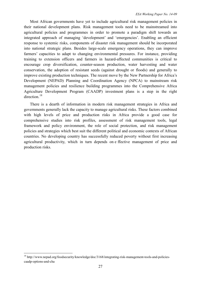Most African governments have yet to include agricultural risk management policies in their national development plans. Risk management tools need to be mainstreamed into agricultural policies and programmes in order to promote a paradigm shift towards an integrated approach of managing 'development' and 'emergencies'. Enabling an efficient response to systemic risks, components of disaster risk management should be incorporated into national strategic plans. Besides large-scale emergency operations, they can improve farmers' capacities to adapt to changing environmental pressures. For instance, providing training to extension officers and farmers in hazard-affected communities is critical to encourage crop diversification, counter-season production, water harvesting and water conservation, the adoption of resistant seeds (against drought or floods) and generally to improve existing production techniques. The recent move by the New Partnership for Africa's Development (NEPAD) Planning and Coordination Agency (NPCA) to mainstream risk management policies and resilience building programmes into the Comprehensive Africa Agriculture Development Program (CAADP) investment plans is a step in the right direction.<sup>[18](#page-29-1)</sup>

There is a dearth of information in modern risk management strategies in Africa and governments generally lack the capacity to manage agricultural risks. These factors combined with high levels of price and production risks in Africa provide a good case for comprehensive studies into risk profiles, assessment of risk management tools, legal framework and policy environment, the role of social protection, and risk management policies and strategies which best suit the different political and economic contexts of African countries. No developing country has successfully reduced poverty without first increasing agricultural productivity, which in turn depends on e ffective management of price and production risks.

<u>.</u>

<sup>18</sup> http://www.nepad.org/foodsecurity/knowledge/doc/3168/integrating-risk-management-tools-and-policiescaadp-options-and-cha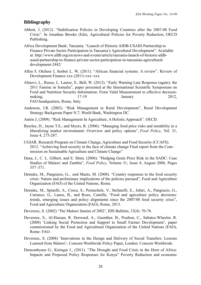#### <span id="page-33-0"></span>**Bibliography**

- Abbott, J. (2012). "Stabilisation Policies in Developing Countries after the 2007-08 Food Crisis". In Jonathan Brooks (Eds), Agricultural Policies for Poverty Reduction, OECD Publishing.
- Africa Development Bank: Tanzania. "Launch of Historic AfDB-USAID Partnership to Finance Private Sector Participation in Tanzania's Agricultural Development". Available at: [http://www.afdb.org/en/news-and-events/article/tanzania-launch-of-historic-afdb](http://www.afdb.org/en/news-and-events/article/tanzania-launch-of-historic-afdb-usaid-partnership-to-finance-private-sector-participation-in-tanzanias-agricultural-development-2442/)[usaid-partnership-to-finance-private-sector-participation-in-tanzanias-agricultural](http://www.afdb.org/en/news-and-events/article/tanzania-launch-of-historic-afdb-usaid-partnership-to-finance-private-sector-participation-in-tanzanias-agricultural-development-2442/)[development-2442/](http://www.afdb.org/en/news-and-events/article/tanzania-launch-of-historic-afdb-usaid-partnership-to-finance-private-sector-participation-in-tanzanias-agricultural-development-2442/)
- Allen F, Otchere I, Senbet L. W, (2011). "African financial systems: A review". Review of Development Finance xxx (2011) xxx–xxx
- Alinovi, L., Russo, L. Lautze, S., Bell, W. (2012). "Early Warning Late Response (again): the 2011 Famine in Somalia", paper presented at the International Scientific Symposium on Food and Nutrition Security Information: From Valid Measurement to effective decisionmaking, 17-19 January 2012, FAO headquarters, Rome, Italy.
- Anderson, J.R. (2002). "Risk Management in Rural Development", Rural Development Strategy Backgroun Paper N.7, World Bank, Washington DC.
- Antón J, (2009). "Risk Management In Agriculture, A Holistic Approach". OECD.
- Byerlee, D., Jayne T.S., and Myers, R. (2006). "Managing food price risks and instability in a liberalizing market environment: Overview and policy options", *Food Policy*, Vol. 31, Issue 4, 275-287.
- CGIAR. Research Program on Climate Change, Agriculture and Food Security (CCAFS). 2012. "Achieving food security in the face of climate change Final report from the Commission on Sustainable Agriculture and Climate Change"
- Dana, J., C. L. Gilbert, and E. Shim. (2006). "Hedging Grain Price Risk in the SADC: Case Studies of Malawi and Zambia", *Food Policy*, Volume 31, Issue 4, August 2006, Pages 357–371.
- Demeke, M., Pangrazio, G., and Maetz, M. (2008). "Country responses to the food security crisis: Nature and preliminary implications of the policies pursued", Food and Agriculture Organization (FAO) of the United Nations, Rome.
- Demeke, M., Spinelli, A., Croce, S., Pernechele, V., Stefanelli, E., Jafari, A., Pangrazio, G., Carrasco, G., Lanos, B., and Roux, Camille, "Food and agriculture policy decisions: trends, emerging issues and policy alignments since the 2007/08 food security crisis", Food and Agriculture Organization (FAO), Rome, 2013.
- Devereux, S. (2002) 'The Malawi famine of 2002', IDS Bulletin, 33(4): 70-78.
- Devereux, S., Al-Hassan, R. Dorward, A., Guenther, B., Poulton, C., Sabates-Wheeler, R. (2008) 'Linking Social Protection and Support to Small Farmer Development', paper commissioned by the Food and Agricultural Organisation of the United Nations (FAO), Rome: FAO.
- Devereux, S. (2008) 'Innovations in the Design and Delivery of Social Transfers: Lessons Learned from Malawi', Concern Worldwide Policy Paper, London: Concern Worldwide.
- Demombynes G., Kiringai J., (2011). "The Drought and Food Crisis in the Horn of Africa: Impacts and Proposed Policy Responses for Kenya" Poverty Reduction and economic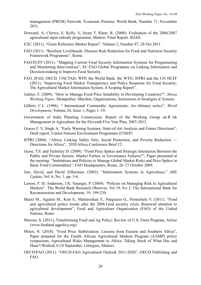management (PREM) Network. Economic Premise: World Bank, Number 71, November 2011.

- Dorward, A, Chirwa, E, Kelly, V, Jayne T, Slater, R. (2008). Evaluation of the 2006/2007 agricultural input subsidy programme, Malawi. Final Report. SOAS.
- EXC (2011), "Grain Reference Market Report", Volume 2, Number 87, 28 Oct 2011.
- FAO (2011). "Resilient Livelihoods. Disaster Risk Reduction for Food and Nutrition Security Framework Programme", Rome.
- FAO/EUFF (2011). "Mapping Current Food Security Information Systems for Programming and Monitoring Interventions", EC-FAO Global Programme on Linking Information and Decision-making to Improve Food Security.
- FAO, IFAD, OECD, UNCTAD, WFP, the World Bank, the WTO, IFPRI and the UN HLTF (2011), "Improving Food Market Transparency and Policy Response for Food Security: The Agricultural Market Information System. A Scoping Report".
- Galtier, F. (2009). "How to Manage Food Price Instability in Developing Countries?", *Moisa Working Paper*, Montpellier: Marchés, Organisations, Institutions et Stratégies d'Acteurs.
- Gilbert, C.L. (1996). " International Commodity Agreements: An obituary notice", *World Development*, Volume 24, Issue 1, Pages 1–19.
- Government of India Planning Commission. Report of the Working Group on R isk Management in Agriculture for the Eleventh Five Year Plan, 2007-2012.
- Grasso F. V, Singh A, "Early Warning Systems: State-of-Art Analysis and Future Directions", Draft report: United Nations Environment Programme (UNEP)
- IFPRI (2004). "Africa: Linking Safety Nets, Social Protection, and Poverty Reduction Directions for Africa", 2020 Africa Conference Brief 12.
- Jayne, T.S. and Tschirley D. (2009). "Food Price Spikes and Strategic Interaction Between the Public and Private Sectors: Market Failure or Governance Failures?", Paper presented at the meeting: "Institutions and Policies to Manage Global Market Risks and Price Spikes in Basic Food Commodities", FAO Headquarters, Rome, 26–27 October 2009.
- Just, David, and David Zilberman. (2002). "Information Systems in Agriculture," *ARE Update*, Vol. 6, No. 1, pp. 3-6.
- Larson, F. D; Anderson, J.R; Varangis, P. (2004). "Policies on Managing Risk in Agricultural Markets". The World Bank Research Observer, Vol 19, No 2. The International Bank for Reconstruction and Development, 19: 199-230.
- Maetz M., Aguirre M., Kim S., Matinroshan Y., Pangrazio G., Pernechele V. (2011). "Food and agricultural policy trends after the 2008 food security crisis: Renewed attention to agricultural development", Food and Agriculture Organization (FAO) of the United Nations, Rome
- Mercier, S. (2011), Transforming Food and Ag Policy: Review of U.S. Farm Program, AGree (www.foodand agpolicy.org)
- Minot, N. (2010). "Food Price Stabilization: Lessons from Eastern and Southern Africa", Paper prepared for the Fourth African Agricultural Markets Program (AAMP) policy symposium, Agricultural Risks Management in Africa: Taking Stock of What Has and Hasn't Worked, 6-10 September. Lilongwe, Malawi.
- OECD/FAO (2011). "OECD-FAO Agricultural Outlook 2011-2020", OECD Publishing and FAO.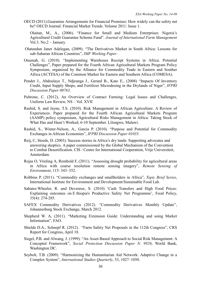OECD (2011).Guarantee Arrangements for Financial Promises: How widely can the safety net be? OECD Journal: Financial Market Trends. Volume 2011: Issue 1.

 Olaitan, M., A., (2006). "Finance for Small and Medium Enterprises: Nigeria's Agricultural Credit Guarantee Scheme Fund". *Journal of International Farm Management* Vol.3. No.2 – January.

- Olatundun Janet Adelegan, (2009). "The Derivatives Market in South Africa: Lessons for sub-Saharan African Countries", *IMF Working Paper*.
- Onumah, G. (2010). "Implementing Warehouse Receipt Systems in Africa. Potential Challenges", Paper prepared for the Fourth African Agricultural Markets Program Policy Symposium, organized by the Alliance for Commodity Trade in Eastern and Souther Africa (ACTESA) of the Common Market for Eastern and Southern Africa (COMESA).
- Pender J., Abdoulaye T., Ndjeunga J., Gerard B., Kato E., (2008) "Impacts Of Inventory Credit, Input Supply Shops, and Fertilizer Microdosing in the Drylands of Niger", *IFPRI Discussion Paper 00763*.
- Pultrone, C. (2012), An Overview of Contract Farming: Legal Issues and Challenges, Uniform Law Review, NS – Vol. XVII
- Rashid, S. and Jayne, T.S. (2010). Risk Management in African Agriculture. A Review of Experiences. Paper prepared for the Fourth African Agricultural Markets Program (AAMP) policy symposium, Agricultural Risks Management in Africa: Taking Stock of What Has and Hasn't Worked, 6-10 September. Lilongwe, Malawi.
- Rashid, S., Winter-Nelson, A., Garcia P. (2010). "Purpose and Potential for Commodity Exchanges in African Economies", *IFPRI Discussion Paper 01035*.
- Reij, C, Steeds, D. (2003). Success stories in Africa's dry lands: Supporting advocates and answering skeptics. A paper commissioned by the Global Mechanism of the Convention to Combat Desertification. CIS / Centre for International Cooperation, Vrije Universiteit, Amsterdam.
- Rojas O, Vrieling A, Rembold F, (2011). "Assessing drought probability for agricultural areas in Africa with coarse resolution remote sensing imagery", *Remote Sensing of Environment*, 115: 343–352.
- Robbins P. (2011). "Commodity exchanges and smallholders in Africa", *Topic Brief Series*, International Institute for Environment and Development/Sustainable Food Lab.
- Sabates-Wheeler, R. and Devereux, S. (2010) 'Cash Transfers and High Food Prices: Explaining outcomes on E thiopia's Productive Safety Net Programme', Food Policy, 35(4): 274-285.
- SAFEX Commodity Derivatives (2012). "Commodity Derivatives Monthly Update", Johannesburg Stock Exchange, March 2012.
- Shepherd W. A, (2011). "Marketing Extension Guide: Understanding and using Market Information", FAO.
- Shields D.A., Schnepf R. (2012). "Farm Safety Net Proposals in the 112th Congress", CRS Report for Congress, April 18.
- Siegel, P.B. and Alwang, J. (1999). "An Asset-Based Approach to Social Risk Management: A Conceptul Framework", *Social Protection Discussion Paper N. 9926*, World Bank, Washington DC.
- Seybolt, T.B. (2009). "Harmonizing the Humanitarian Aid Network: Adaptive Change in a Complex System", *International Studies Quarterly*, 53, 1027–1050.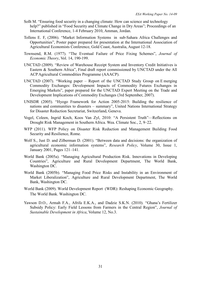- Solh M. "Ensuring food security in a changing climate: How can science and technology help?" published in "Food Security and Climate Change in Dry Areas"; Proceedings of an International Conference, 1-4 February 2010, Amman, Jordan.
- Tollens E. F, (2006). "Market Information Systems in sub-Sahara Africa Challenges and Opportunities", Poster paper prepared for presentation at the International Association of Agricultural Economists Conference, Gold Coast, Australia, August 12-18.
- Townsend, R.M. (1977). "The Eventual Failure of Price Fixing Schemes", *Journal of Economic Theory*, Vol. 14, 190-199.
- UNCTAD (2009). "Review of Warehouse Receipt System and Inventory Credit Initiatives is Eastern & Southern Africa", Final draft report commissioned by UNCTAD under the All ACP Agricultural Commodities Programme (AAACP).
- UNCTAD (2007). "Working paper Report of the UNCTAD Study Group on E merging Commodity Exchanges: Development Impacts of Commodity Futures Exchanges in Emerging Markets", paper prepared for the UNCTAD Expert Meeting on the Trade and Development Implications of Commodity Exchanges (3rd September, 2007).
- UNISDR (2005). "Hyogo Framework for Action 2005-2015: Building the resilience of nations and communities to disasters – summary", United Nations International Strategy for Disaster Reduction Secretariat, Switzerland, Geneva.
- Vogel, Coleen, Ingrid Koch, Koos Van Zyl, 2010: "A Persistent Truth"—Reflections on Drought Risk Management in Southern Africa. Wea. Climate Soc., 2, 9–22.
- WFP (2011). WFP Policy on Disaster Risk Reduction and Management Building Food Security and Resilience, Rome.
- Wolf S., Just D. and Zilberman D. (2001). "Between data and decisions: the organization of agricultural economic information systems", *Research Policy*, Volume 30, Issue 1, January 2001, Pages 121–141.
- World Bank (2005a). "Managing Agricultural Production Risk. Innovations in Developing Countries", Agriculture and Rural Development Department, The World Bank, Washington DC.
- World Bank (2005b). "Managing Food Price Risks and Instability in an Environment of Market Liberalization", Agriculture and Rural Development Department, The World Bank, Washington DC.
- World Bank (2009). World Development Report (WDR): Reshaping Economic Geography. The World Bank. Washington DC.
- Yawson D.O., Armah F.A., Afrifa E.K.A., and Dadzie S.K.N. (2010). "Ghana's Fertilizer Subsidy Policy: Early Field Lessons from Farmers in the Central Region", *Journal of Sustainable Development in Africa*, Volume 12, No.3.